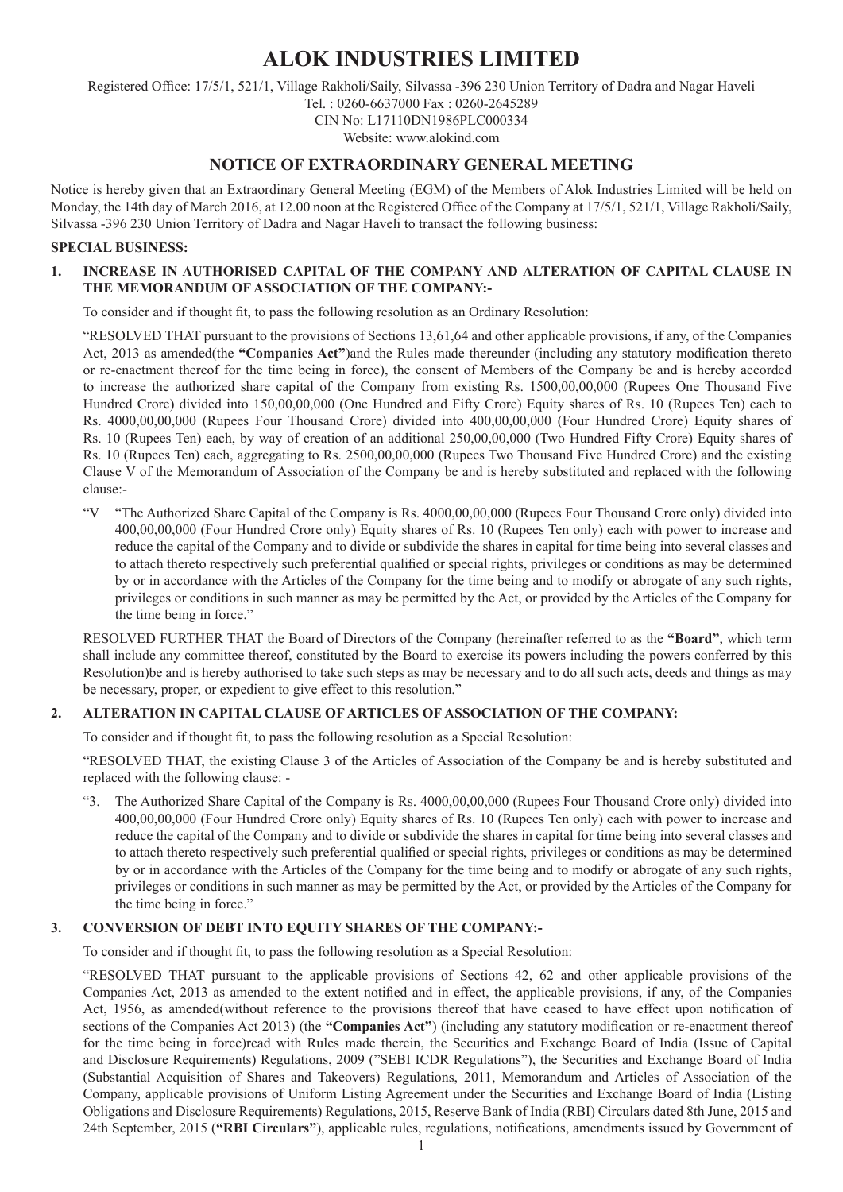# **ALOK INDUSTRIES LIMITED**

Registered Office: 17/5/1, 521/1, Village Rakholi/Saily, Silvassa -396 230 Union Territory of Dadra and Nagar Haveli Tel. : 0260-6637000 Fax : 0260-2645289 CIN No: L17110DN1986PLC000334

Website: www.alokind.com

## **NOTICE OF EXTRAORDINARY GENERAL MEETING**

Notice is hereby given that an Extraordinary General Meeting (EGM) of the Members of Alok Industries Limited will be held on Monday, the 14th day of March 2016, at 12.00 noon at the Registered Office of the Company at 17/5/1, 521/1, Village Rakholi/Saily, Silvassa -396 230 Union Territory of Dadra and Nagar Haveli to transact the following business:

#### **SPECIAL BUSINESS:**

#### **1. INCREASE IN AUTHORISED CAPITAL OF THE COMPANY AND ALTERATION OF CAPITAL CLAUSE IN THE MEMORANDUM OF ASSOCIATION OF THE COMPANY:-**

To consider and if thought fit, to pass the following resolution as an Ordinary Resolution:

"RESOLVED THAT pursuant to the provisions of Sections 13,61,64 and other applicable provisions, if any, of the Companies Act, 2013 as amended(the **"Companies Act"**)and the Rules made thereunder (including any statutory modification thereto or re-enactment thereof for the time being in force), the consent of Members of the Company be and is hereby accorded to increase the authorized share capital of the Company from existing Rs. 1500,00,00,000 (Rupees One Thousand Five Hundred Crore) divided into 150,00,00,000 (One Hundred and Fifty Crore) Equity shares of Rs. 10 (Rupees Ten) each to Rs. 4000,00,00,000 (Rupees Four Thousand Crore) divided into 400,00,00,000 (Four Hundred Crore) Equity shares of Rs. 10 (Rupees Ten) each, by way of creation of an additional 250,00,00,000 (Two Hundred Fifty Crore) Equity shares of Rs. 10 (Rupees Ten) each, aggregating to Rs. 2500,00,00,000 (Rupees Two Thousand Five Hundred Crore) and the existing Clause V of the Memorandum of Association of the Company be and is hereby substituted and replaced with the following clause:-

"V "The Authorized Share Capital of the Company is Rs. 4000,00,00,000 (Rupees Four Thousand Crore only) divided into 400,00,00,000 (Four Hundred Crore only) Equity shares of Rs. 10 (Rupees Ten only) each with power to increase and reduce the capital of the Company and to divide or subdivide the shares in capital for time being into several classes and to attach thereto respectively such preferential qualified or special rights, privileges or conditions as may be determined by or in accordance with the Articles of the Company for the time being and to modify or abrogate of any such rights, privileges or conditions in such manner as may be permitted by the Act, or provided by the Articles of the Company for the time being in force."

RESOLVED FURTHER THAT the Board of Directors of the Company (hereinafter referred to as the **"Board"**, which term shall include any committee thereof, constituted by the Board to exercise its powers including the powers conferred by this Resolution)be and is hereby authorised to take such steps as may be necessary and to do all such acts, deeds and things as may be necessary, proper, or expedient to give effect to this resolution."

#### **2. ALTERATION IN CAPITAL CLAUSE OF ARTICLES OF ASSOCIATION OF THE COMPANY:**

To consider and if thought fit, to pass the following resolution as a Special Resolution:

"RESOLVED THAT, the existing Clause 3 of the Articles of Association of the Company be and is hereby substituted and replaced with the following clause: -

"3. The Authorized Share Capital of the Company is Rs. 4000,00,00,000 (Rupees Four Thousand Crore only) divided into 400,00,00,000 (Four Hundred Crore only) Equity shares of Rs. 10 (Rupees Ten only) each with power to increase and reduce the capital of the Company and to divide or subdivide the shares in capital for time being into several classes and to attach thereto respectively such preferential qualified or special rights, privileges or conditions as may be determined by or in accordance with the Articles of the Company for the time being and to modify or abrogate of any such rights, privileges or conditions in such manner as may be permitted by the Act, or provided by the Articles of the Company for the time being in force."

#### **3. CONVERSION OF DEBT INTO EQUITY SHARES OF THE COMPANY:-**

To consider and if thought fit, to pass the following resolution as a Special Resolution:

"RESOLVED THAT pursuant to the applicable provisions of Sections 42, 62 and other applicable provisions of the Companies Act, 2013 as amended to the extent notified and in effect, the applicable provisions, if any, of the Companies Act, 1956, as amended(without reference to the provisions thereof that have ceased to have effect upon notification of sections of the Companies Act 2013) (the **"Companies Act"**) (including any statutory modification or re-enactment thereof for the time being in force)read with Rules made therein, the Securities and Exchange Board of India (Issue of Capital and Disclosure Requirements) Regulations, 2009 ("SEBI ICDR Regulations"), the Securities and Exchange Board of India (Substantial Acquisition of Shares and Takeovers) Regulations, 2011, Memorandum and Articles of Association of the Company, applicable provisions of Uniform Listing Agreement under the Securities and Exchange Board of India (Listing Obligations and Disclosure Requirements) Regulations, 2015, Reserve Bank of India (RBI) Circulars dated 8th June, 2015 and 24th September, 2015 (**"RBI Circulars"**), applicable rules, regulations, notifications, amendments issued by Government of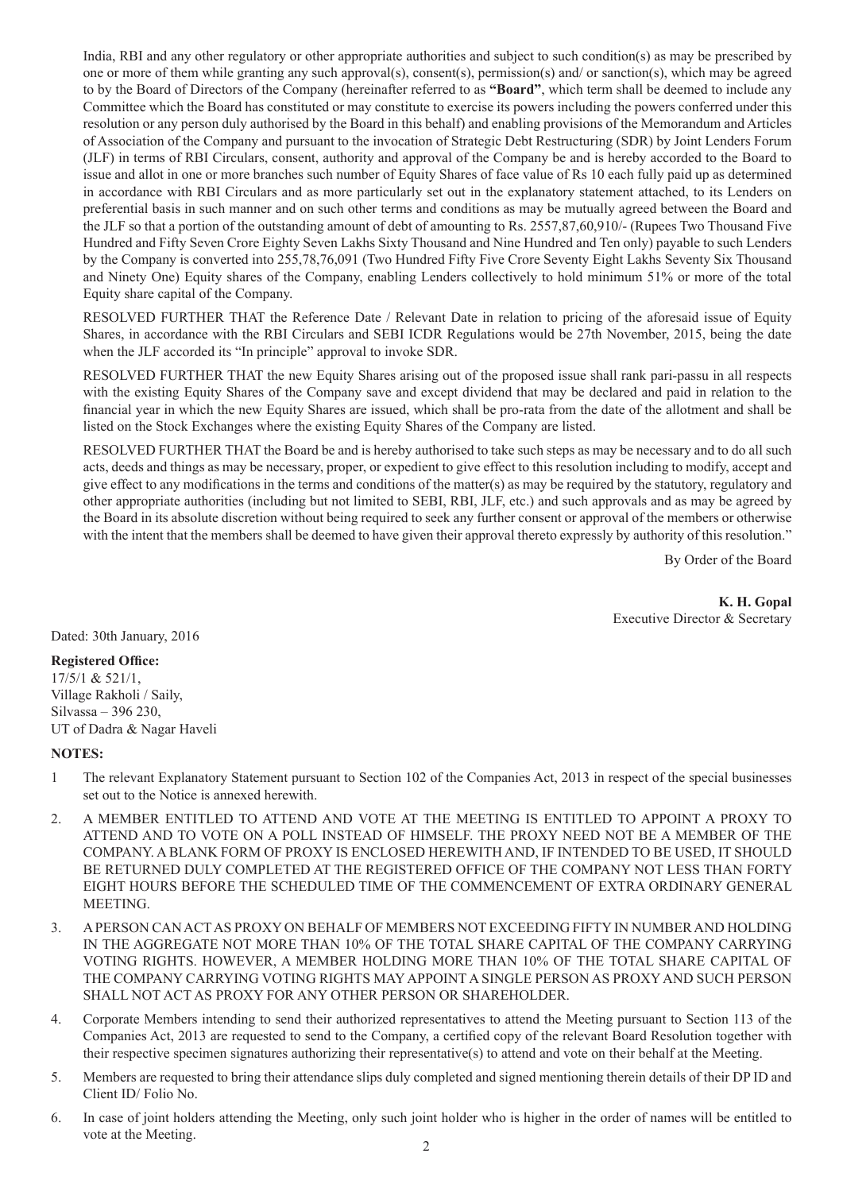India, RBI and any other regulatory or other appropriate authorities and subject to such condition(s) as may be prescribed by one or more of them while granting any such approval(s), consent(s), permission(s) and/ or sanction(s), which may be agreed to by the Board of Directors of the Company (hereinafter referred to as **"Board"**, which term shall be deemed to include any Committee which the Board has constituted or may constitute to exercise its powers including the powers conferred under this resolution or any person duly authorised by the Board in this behalf) and enabling provisions of the Memorandum and Articles of Association of the Company and pursuant to the invocation of Strategic Debt Restructuring (SDR) by Joint Lenders Forum (JLF) in terms of RBI Circulars, consent, authority and approval of the Company be and is hereby accorded to the Board to issue and allot in one or more branches such number of Equity Shares of face value of Rs 10 each fully paid up as determined in accordance with RBI Circulars and as more particularly set out in the explanatory statement attached, to its Lenders on preferential basis in such manner and on such other terms and conditions as may be mutually agreed between the Board and the JLF so that a portion of the outstanding amount of debt of amounting to Rs. 2557,87,60,910/- (Rupees Two Thousand Five Hundred and Fifty Seven Crore Eighty Seven Lakhs Sixty Thousand and Nine Hundred and Ten only) payable to such Lenders by the Company is converted into 255,78,76,091 (Two Hundred Fifty Five Crore Seventy Eight Lakhs Seventy Six Thousand and Ninety One) Equity shares of the Company, enabling Lenders collectively to hold minimum 51% or more of the total Equity share capital of the Company.

RESOLVED FURTHER THAT the Reference Date / Relevant Date in relation to pricing of the aforesaid issue of Equity Shares, in accordance with the RBI Circulars and SEBI ICDR Regulations would be 27th November, 2015, being the date when the JLF accorded its "In principle" approval to invoke SDR.

RESOLVED FURTHER THAT the new Equity Shares arising out of the proposed issue shall rank pari-passu in all respects with the existing Equity Shares of the Company save and except dividend that may be declared and paid in relation to the financial year in which the new Equity Shares are issued, which shall be pro-rata from the date of the allotment and shall be listed on the Stock Exchanges where the existing Equity Shares of the Company are listed.

RESOLVED FURTHER THAT the Board be and is hereby authorised to take such steps as may be necessary and to do all such acts, deeds and things as may be necessary, proper, or expedient to give effect to this resolution including to modify, accept and give effect to any modifications in the terms and conditions of the matter(s) as may be required by the statutory, regulatory and other appropriate authorities (including but not limited to SEBI, RBI, JLF, etc.) and such approvals and as may be agreed by the Board in its absolute discretion without being required to seek any further consent or approval of the members or otherwise with the intent that the members shall be deemed to have given their approval thereto expressly by authority of this resolution."

By Order of the Board

 **K. H. Gopal** Executive Director & Secretary

Dated: 30th January, 2016

#### **Registered Office:**

17/5/1 & 521/1, Village Rakholi / Saily, Silvassa – 396 230, UT of Dadra & Nagar Haveli

#### **NOTES:**

- 1 The relevant Explanatory Statement pursuant to Section 102 of the Companies Act, 2013 in respect of the special businesses set out to the Notice is annexed herewith.
- 2. A MEMBER ENTITLED TO ATTEND AND VOTE AT THE MEETING IS ENTITLED TO APPOINT A PROXY TO ATTEND AND TO VOTE ON A POLL INSTEAD OF HIMSELF. THE PROXY NEED NOT BE A MEMBER OF THE COMPANY. A BLANK FORM OF PROXY IS ENCLOSED HEREWITH AND, IF INTENDED TO BE USED, IT SHOULD BE RETURNED DULY COMPLETED AT THE REGISTERED OFFICE OF THE COMPANY NOT LESS THAN FORTY EIGHT HOURS BEFORE THE SCHEDULED TIME OF THE COMMENCEMENT OF EXTRA ORDINARY GENERAL MEETING.
- 3. A PERSON CAN ACT AS PROXY ON BEHALF OF MEMBERS NOT EXCEEDING FIFTY IN NUMBER AND HOLDING IN THE AGGREGATE NOT MORE THAN 10% OF THE TOTAL SHARE CAPITAL OF THE COMPANY CARRYING VOTING RIGHTS. HOWEVER, A MEMBER HOLDING MORE THAN 10% OF THE TOTAL SHARE CAPITAL OF THE COMPANY CARRYING VOTING RIGHTS MAY APPOINT A SINGLE PERSON AS PROXY AND SUCH PERSON SHALL NOT ACT AS PROXY FOR ANY OTHER PERSON OR SHAREHOLDER.
- 4. Corporate Members intending to send their authorized representatives to attend the Meeting pursuant to Section 113 of the Companies Act, 2013 are requested to send to the Company, a certified copy of the relevant Board Resolution together with their respective specimen signatures authorizing their representative(s) to attend and vote on their behalf at the Meeting.
- 5. Members are requested to bring their attendance slips duly completed and signed mentioning therein details of their DP ID and Client ID/ Folio No.
- 6. In case of joint holders attending the Meeting, only such joint holder who is higher in the order of names will be entitled to vote at the Meeting.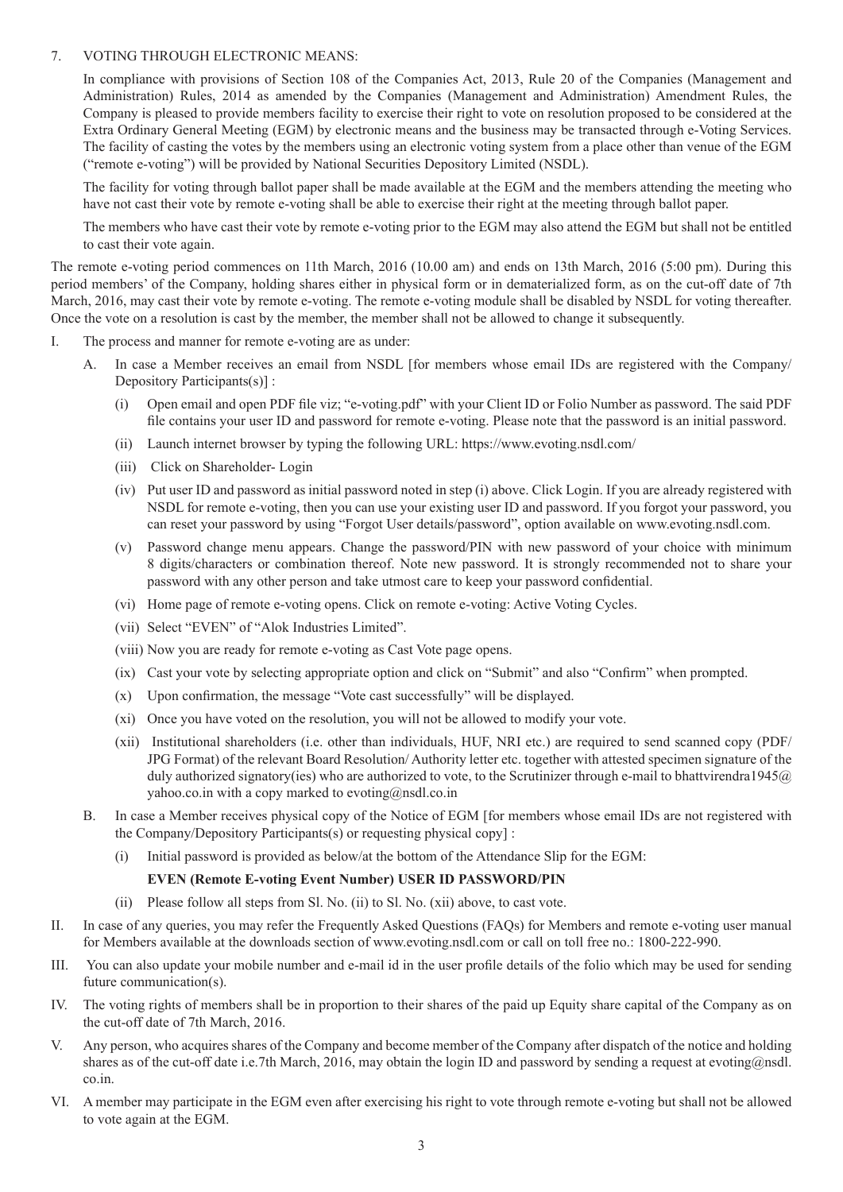#### 7. VOTING THROUGH ELECTRONIC MEANS:

In compliance with provisions of Section 108 of the Companies Act, 2013, Rule 20 of the Companies (Management and Administration) Rules, 2014 as amended by the Companies (Management and Administration) Amendment Rules, the Company is pleased to provide members facility to exercise their right to vote on resolution proposed to be considered at the Extra Ordinary General Meeting (EGM) by electronic means and the business may be transacted through e-Voting Services. The facility of casting the votes by the members using an electronic voting system from a place other than venue of the EGM ("remote e-voting") will be provided by National Securities Depository Limited (NSDL).

The facility for voting through ballot paper shall be made available at the EGM and the members attending the meeting who have not cast their vote by remote e-voting shall be able to exercise their right at the meeting through ballot paper.

The members who have cast their vote by remote e-voting prior to the EGM may also attend the EGM but shall not be entitled to cast their vote again.

The remote e-voting period commences on 11th March, 2016 (10.00 am) and ends on 13th March, 2016 (5:00 pm). During this period members' of the Company, holding shares either in physical form or in dematerialized form, as on the cut-off date of 7th March, 2016, may cast their vote by remote e-voting. The remote e-voting module shall be disabled by NSDL for voting thereafter. Once the vote on a resolution is cast by the member, the member shall not be allowed to change it subsequently.

- I. The process and manner for remote e-voting are as under:
	- A. In case a Member receives an email from NSDL [for members whose email IDs are registered with the Company/ Depository Participants(s)] :
		- (i) Open email and open PDF file viz; "e-voting.pdf" with your Client ID or Folio Number as password. The said PDF file contains your user ID and password for remote e-voting. Please note that the password is an initial password.
		- (ii) Launch internet browser by typing the following URL: https://www.evoting.nsdl.com/
		- (iii) Click on Shareholder- Login
		- (iv) Put user ID and password as initial password noted in step (i) above. Click Login. If you are already registered with NSDL for remote e-voting, then you can use your existing user ID and password. If you forgot your password, you can reset your password by using "Forgot User details/password", option available on www.evoting.nsdl.com.
		- (v) Password change menu appears. Change the password/PIN with new password of your choice with minimum 8 digits/characters or combination thereof. Note new password. It is strongly recommended not to share your password with any other person and take utmost care to keep your password confidential.
		- (vi) Home page of remote e-voting opens. Click on remote e-voting: Active Voting Cycles.
		- (vii) Select "EVEN" of "Alok Industries Limited".

(viii) Now you are ready for remote e-voting as Cast Vote page opens.

- (ix) Cast your vote by selecting appropriate option and click on "Submit" and also "Confirm" when prompted.
- (x) Upon confirmation, the message "Vote cast successfully" will be displayed.
- (xi) Once you have voted on the resolution, you will not be allowed to modify your vote.
- (xii) Institutional shareholders (i.e. other than individuals, HUF, NRI etc.) are required to send scanned copy (PDF/ JPG Format) of the relevant Board Resolution/ Authority letter etc. together with attested specimen signature of the duly authorized signatory(ies) who are authorized to vote, to the Scrutinizer through e-mail to bhattvirendra1945@ yahoo.co.in with a copy marked to evoting@nsdl.co.in
- B. In case a Member receives physical copy of the Notice of EGM [for members whose email IDs are not registered with the Company/Depository Participants(s) or requesting physical copy] :
	- (i) Initial password is provided as below/at the bottom of the Attendance Slip for the EGM:

#### **EVEN (Remote E-voting Event Number) USER ID PASSWORD/PIN**

- (ii) Please follow all steps from Sl. No. (ii) to Sl. No. (xii) above, to cast vote.
- II. In case of any queries, you may refer the Frequently Asked Questions (FAQs) for Members and remote e-voting user manual for Members available at the downloads section of www.evoting.nsdl.com or call on toll free no.: 1800-222-990.
- III. You can also update your mobile number and e-mail id in the user profile details of the folio which may be used for sending future communication(s).
- IV. The voting rights of members shall be in proportion to their shares of the paid up Equity share capital of the Company as on the cut-off date of 7th March, 2016.
- V. Any person, who acquires shares of the Company and become member of the Company after dispatch of the notice and holding shares as of the cut-off date i.e.7th March, 2016, may obtain the login ID and password by sending a request at evoting@nsdl. co.in.
- VI. A member may participate in the EGM even after exercising his right to vote through remote e-voting but shall not be allowed to vote again at the EGM.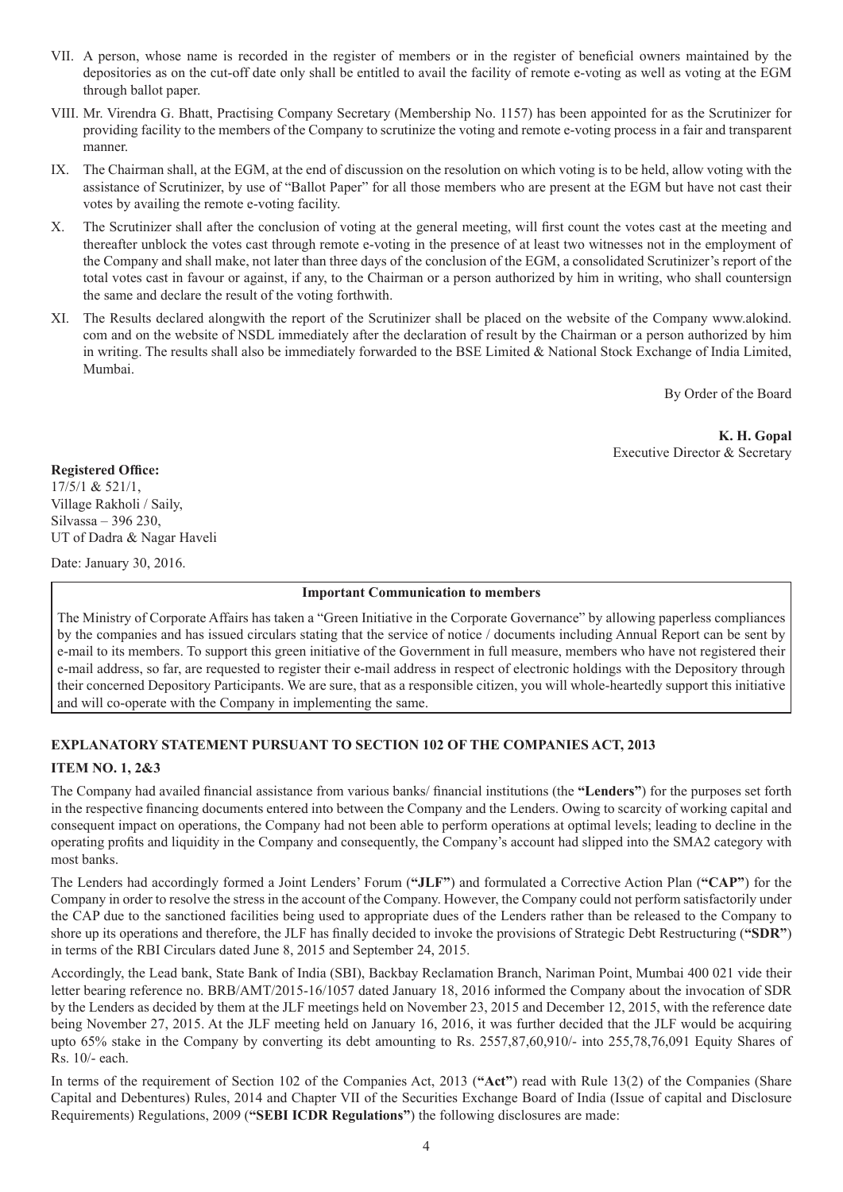- VII. A person, whose name is recorded in the register of members or in the register of beneficial owners maintained by the depositories as on the cut-off date only shall be entitled to avail the facility of remote e-voting as well as voting at the EGM through ballot paper.
- VIII. Mr. Virendra G. Bhatt, Practising Company Secretary (Membership No. 1157) has been appointed for as the Scrutinizer for providing facility to the members of the Company to scrutinize the voting and remote e-voting process in a fair and transparent manner.
- IX. The Chairman shall, at the EGM, at the end of discussion on the resolution on which voting is to be held, allow voting with the assistance of Scrutinizer, by use of "Ballot Paper" for all those members who are present at the EGM but have not cast their votes by availing the remote e-voting facility.
- X. The Scrutinizer shall after the conclusion of voting at the general meeting, will first count the votes cast at the meeting and thereafter unblock the votes cast through remote e-voting in the presence of at least two witnesses not in the employment of the Company and shall make, not later than three days of the conclusion of the EGM, a consolidated Scrutinizer's report of the total votes cast in favour or against, if any, to the Chairman or a person authorized by him in writing, who shall countersign the same and declare the result of the voting forthwith.
- XI. The Results declared alongwith the report of the Scrutinizer shall be placed on the website of the Company www.alokind. com and on the website of NSDL immediately after the declaration of result by the Chairman or a person authorized by him in writing. The results shall also be immediately forwarded to the BSE Limited & National Stock Exchange of India Limited, Mumbai.

By Order of the Board

 **K. H. Gopal** Executive Director & Secretary

**Registered Office:**  17/5/1 & 521/1, Village Rakholi / Saily,

Silvassa – 396 230, UT of Dadra & Nagar Haveli

Date: January 30, 2016.

#### **Important Communication to members**

The Ministry of Corporate Affairs has taken a "Green Initiative in the Corporate Governance" by allowing paperless compliances by the companies and has issued circulars stating that the service of notice / documents including Annual Report can be sent by e-mail to its members. To support this green initiative of the Government in full measure, members who have not registered their e-mail address, so far, are requested to register their e-mail address in respect of electronic holdings with the Depository through their concerned Depository Participants. We are sure, that as a responsible citizen, you will whole-heartedly support this initiative and will co-operate with the Company in implementing the same.

# **EXPLANATORY STATEMENT PURSUANT TO SECTION 102 OF THE COMPANIES ACT, 2013**

## **ITEM NO. 1, 2&3**

The Company had availed financial assistance from various banks/ financial institutions (the **"Lenders"**) for the purposes set forth in the respective financing documents entered into between the Company and the Lenders. Owing to scarcity of working capital and consequent impact on operations, the Company had not been able to perform operations at optimal levels; leading to decline in the operating profits and liquidity in the Company and consequently, the Company's account had slipped into the SMA2 category with most banks.

The Lenders had accordingly formed a Joint Lenders' Forum (**"JLF"**) and formulated a Corrective Action Plan (**"CAP"**) for the Company in order to resolve the stress in the account of the Company. However, the Company could not perform satisfactorily under the CAP due to the sanctioned facilities being used to appropriate dues of the Lenders rather than be released to the Company to shore up its operations and therefore, the JLF has finally decided to invoke the provisions of Strategic Debt Restructuring (**"SDR"**) in terms of the RBI Circulars dated June 8, 2015 and September 24, 2015.

Accordingly, the Lead bank, State Bank of India (SBI), Backbay Reclamation Branch, Nariman Point, Mumbai 400 021 vide their letter bearing reference no. BRB/AMT/2015-16/1057 dated January 18, 2016 informed the Company about the invocation of SDR by the Lenders as decided by them at the JLF meetings held on November 23, 2015 and December 12, 2015, with the reference date being November 27, 2015. At the JLF meeting held on January 16, 2016, it was further decided that the JLF would be acquiring upto 65% stake in the Company by converting its debt amounting to Rs. 2557,87,60,910/- into 255,78,76,091 Equity Shares of Rs. 10/- each.

In terms of the requirement of Section 102 of the Companies Act, 2013 (**"Act"**) read with Rule 13(2) of the Companies (Share Capital and Debentures) Rules, 2014 and Chapter VII of the Securities Exchange Board of India (Issue of capital and Disclosure Requirements) Regulations, 2009 (**"SEBI ICDR Regulations"**) the following disclosures are made: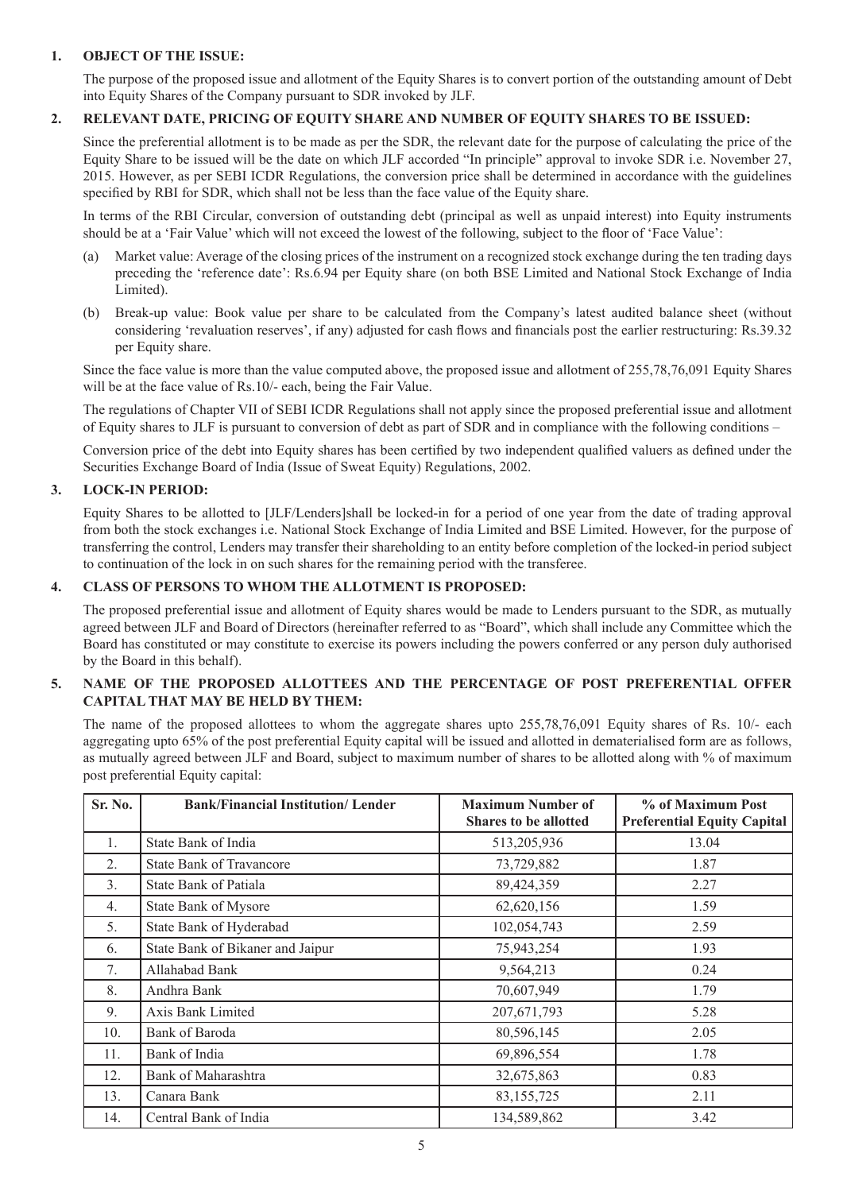#### **1. OBJECT OF THE ISSUE:**

The purpose of the proposed issue and allotment of the Equity Shares is to convert portion of the outstanding amount of Debt into Equity Shares of the Company pursuant to SDR invoked by JLF.

#### **2. RELEVANT DATE, PRICING OF EQUITY SHARE AND NUMBER OF EQUITY SHARES TO BE ISSUED:**

Since the preferential allotment is to be made as per the SDR, the relevant date for the purpose of calculating the price of the Equity Share to be issued will be the date on which JLF accorded "In principle" approval to invoke SDR i.e. November 27, 2015. However, as per SEBI ICDR Regulations, the conversion price shall be determined in accordance with the guidelines specified by RBI for SDR, which shall not be less than the face value of the Equity share.

In terms of the RBI Circular, conversion of outstanding debt (principal as well as unpaid interest) into Equity instruments should be at a 'Fair Value' which will not exceed the lowest of the following, subject to the floor of 'Face Value':

- (a) Market value: Average of the closing prices of the instrument on a recognized stock exchange during the ten trading days preceding the 'reference date': Rs.6.94 per Equity share (on both BSE Limited and National Stock Exchange of India Limited).
- (b) Break-up value: Book value per share to be calculated from the Company's latest audited balance sheet (without considering 'revaluation reserves', if any) adjusted for cash flows and financials post the earlier restructuring: Rs.39.32 per Equity share.

Since the face value is more than the value computed above, the proposed issue and allotment of 255,78,76,091 Equity Shares will be at the face value of Rs.10/- each, being the Fair Value.

The regulations of Chapter VII of SEBI ICDR Regulations shall not apply since the proposed preferential issue and allotment of Equity shares to JLF is pursuant to conversion of debt as part of SDR and in compliance with the following conditions –

Conversion price of the debt into Equity shares has been certified by two independent qualified valuers as defined under the Securities Exchange Board of India (Issue of Sweat Equity) Regulations, 2002.

#### **3. LOCK-IN PERIOD:**

Equity Shares to be allotted to [JLF/Lenders]shall be locked-in for a period of one year from the date of trading approval from both the stock exchanges i.e. National Stock Exchange of India Limited and BSE Limited. However, for the purpose of transferring the control, Lenders may transfer their shareholding to an entity before completion of the locked-in period subject to continuation of the lock in on such shares for the remaining period with the transferee.

#### **4. CLASS OF PERSONS TO WHOM THE ALLOTMENT IS PROPOSED:**

The proposed preferential issue and allotment of Equity shares would be made to Lenders pursuant to the SDR, as mutually agreed between JLF and Board of Directors (hereinafter referred to as "Board", which shall include any Committee which the Board has constituted or may constitute to exercise its powers including the powers conferred or any person duly authorised by the Board in this behalf).

#### **5. NAME OF THE PROPOSED ALLOTTEES AND THE PERCENTAGE OF POST PREFERENTIAL OFFER CAPITAL THAT MAY BE HELD BY THEM:**

The name of the proposed allottees to whom the aggregate shares upto 255,78,76,091 Equity shares of Rs. 10/- each aggregating upto 65% of the post preferential Equity capital will be issued and allotted in dematerialised form are as follows, as mutually agreed between JLF and Board, subject to maximum number of shares to be allotted along with % of maximum post preferential Equity capital:

| Sr. No. | <b>Bank/Financial Institution/ Lender</b> | <b>Maximum Number of</b><br><b>Shares to be allotted</b> | % of Maximum Post<br><b>Preferential Equity Capital</b> |
|---------|-------------------------------------------|----------------------------------------------------------|---------------------------------------------------------|
| 1.      | State Bank of India                       | 513,205,936                                              | 13.04                                                   |
| 2.      | <b>State Bank of Travancore</b>           | 73,729,882                                               | 1.87                                                    |
| 3.      | <b>State Bank of Patiala</b>              | 89,424,359                                               | 2.27                                                    |
| 4.      | <b>State Bank of Mysore</b>               | 62,620,156                                               | 1.59                                                    |
| 5.      | State Bank of Hyderabad                   | 102,054,743                                              | 2.59                                                    |
| 6.      | State Bank of Bikaner and Jaipur          | 75,943,254                                               | 1.93                                                    |
| 7.      | Allahabad Bank                            | 9,564,213                                                | 0.24                                                    |
| 8.      | Andhra Bank                               | 70,607,949                                               | 1.79                                                    |
| 9.      | Axis Bank Limited                         | 207, 671, 793                                            | 5.28                                                    |
| 10.     | <b>Bank of Baroda</b>                     | 80,596,145                                               | 2.05                                                    |
| 11.     | Bank of India                             | 69,896,554                                               | 1.78                                                    |
| 12.     | Bank of Maharashtra                       | 32,675,863                                               | 0.83                                                    |
| 13.     | Canara Bank                               | 83, 155, 725                                             | 2.11                                                    |
| 14.     | Central Bank of India                     | 134,589,862                                              | 3.42                                                    |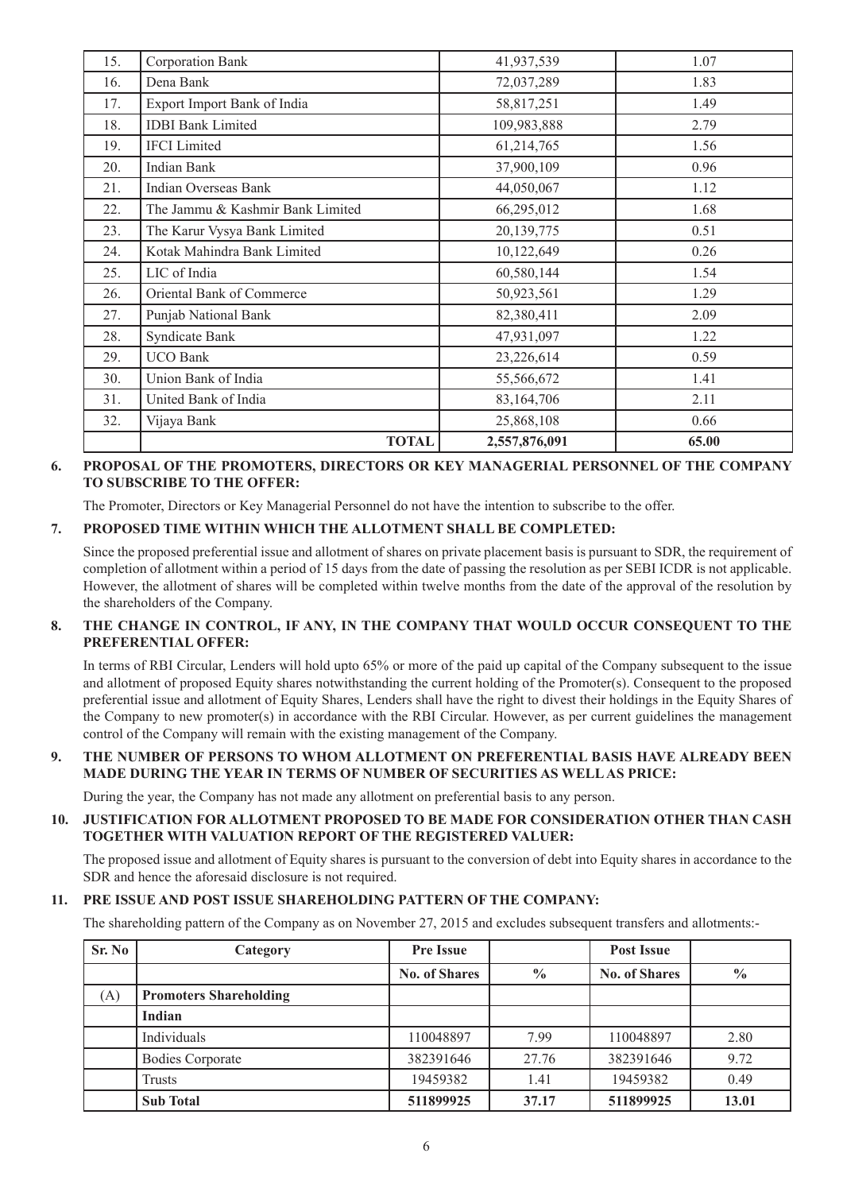| 15. | Corporation Bank                 | 41,937,539    | 1.07  |
|-----|----------------------------------|---------------|-------|
| 16. | Dena Bank                        | 72,037,289    | 1.83  |
| 17. | Export Import Bank of India      | 58,817,251    | 1.49  |
| 18. | <b>IDBI</b> Bank Limited         | 109,983,888   | 2.79  |
| 19. | <b>IFCI</b> Limited              | 61,214,765    | 1.56  |
| 20. | <b>Indian Bank</b>               | 37,900,109    | 0.96  |
| 21. | Indian Overseas Bank             | 44,050,067    | 1.12  |
| 22. | The Jammu & Kashmir Bank Limited | 66,295,012    | 1.68  |
| 23. | The Karur Vysya Bank Limited     | 20,139,775    | 0.51  |
| 24. | Kotak Mahindra Bank Limited      | 10,122,649    | 0.26  |
| 25. | LIC of India                     | 60,580,144    | 1.54  |
| 26. | Oriental Bank of Commerce        | 50,923,561    | 1.29  |
| 27. | Punjab National Bank             | 82,380,411    | 2.09  |
| 28. | Syndicate Bank                   | 47,931,097    | 1.22  |
| 29. | <b>UCO Bank</b>                  | 23,226,614    | 0.59  |
| 30. | Union Bank of India              | 55,566,672    | 1.41  |
| 31. | United Bank of India             | 83,164,706    | 2.11  |
| 32. | Vijaya Bank                      | 25,868,108    | 0.66  |
|     | <b>TOTAL</b>                     | 2,557,876,091 | 65.00 |

#### **6. PROPOSAL OF THE PROMOTERS, DIRECTORS OR KEY MANAGERIAL PERSONNEL OF THE COMPANY TO SUBSCRIBE TO THE OFFER:**

The Promoter, Directors or Key Managerial Personnel do not have the intention to subscribe to the offer.

#### **7. PROPOSED TIME WITHIN WHICH THE ALLOTMENT SHALL BE COMPLETED:**

Since the proposed preferential issue and allotment of shares on private placement basis is pursuant to SDR, the requirement of completion of allotment within a period of 15 days from the date of passing the resolution as per SEBI ICDR is not applicable. However, the allotment of shares will be completed within twelve months from the date of the approval of the resolution by the shareholders of the Company.

#### **8. THE CHANGE IN CONTROL, IF ANY, IN THE COMPANY THAT WOULD OCCUR CONSEQUENT TO THE PREFERENTIAL OFFER:**

In terms of RBI Circular, Lenders will hold upto 65% or more of the paid up capital of the Company subsequent to the issue and allotment of proposed Equity shares notwithstanding the current holding of the Promoter(s). Consequent to the proposed preferential issue and allotment of Equity Shares, Lenders shall have the right to divest their holdings in the Equity Shares of the Company to new promoter(s) in accordance with the RBI Circular. However, as per current guidelines the management control of the Company will remain with the existing management of the Company.

#### **9. THE NUMBER OF PERSONS TO WHOM ALLOTMENT ON PREFERENTIAL BASIS HAVE ALREADY BEEN MADE DURING THE YEAR IN TERMS OF NUMBER OF SECURITIES AS WELL AS PRICE:**

During the year, the Company has not made any allotment on preferential basis to any person.

#### **10. JUSTIFICATION FOR ALLOTMENT PROPOSED TO BE MADE FOR CONSIDERATION OTHER THAN CASH TOGETHER WITH VALUATION REPORT OF THE REGISTERED VALUER:**

The proposed issue and allotment of Equity shares is pursuant to the conversion of debt into Equity shares in accordance to the SDR and hence the aforesaid disclosure is not required.

### **11. PRE ISSUE AND POST ISSUE SHAREHOLDING PATTERN OF THE COMPANY:**

The shareholding pattern of the Company as on November 27, 2015 and excludes subsequent transfers and allotments:-

| Sr. No | Category                      | <b>Pre Issue</b>     |               | <b>Post Issue</b>    |               |
|--------|-------------------------------|----------------------|---------------|----------------------|---------------|
|        |                               | <b>No. of Shares</b> | $\frac{0}{0}$ | <b>No. of Shares</b> | $\frac{0}{0}$ |
| (A)    | <b>Promoters Shareholding</b> |                      |               |                      |               |
|        | Indian                        |                      |               |                      |               |
|        | Individuals                   | 110048897            | 7.99          | 110048897            | 2.80          |
|        | <b>Bodies Corporate</b>       | 382391646            | 27.76         | 382391646            | 9.72          |
|        | Trusts                        | 19459382             | 1.41          | 19459382             | 0.49          |
|        | <b>Sub Total</b>              | 511899925            | 37.17         | 511899925            | 13.01         |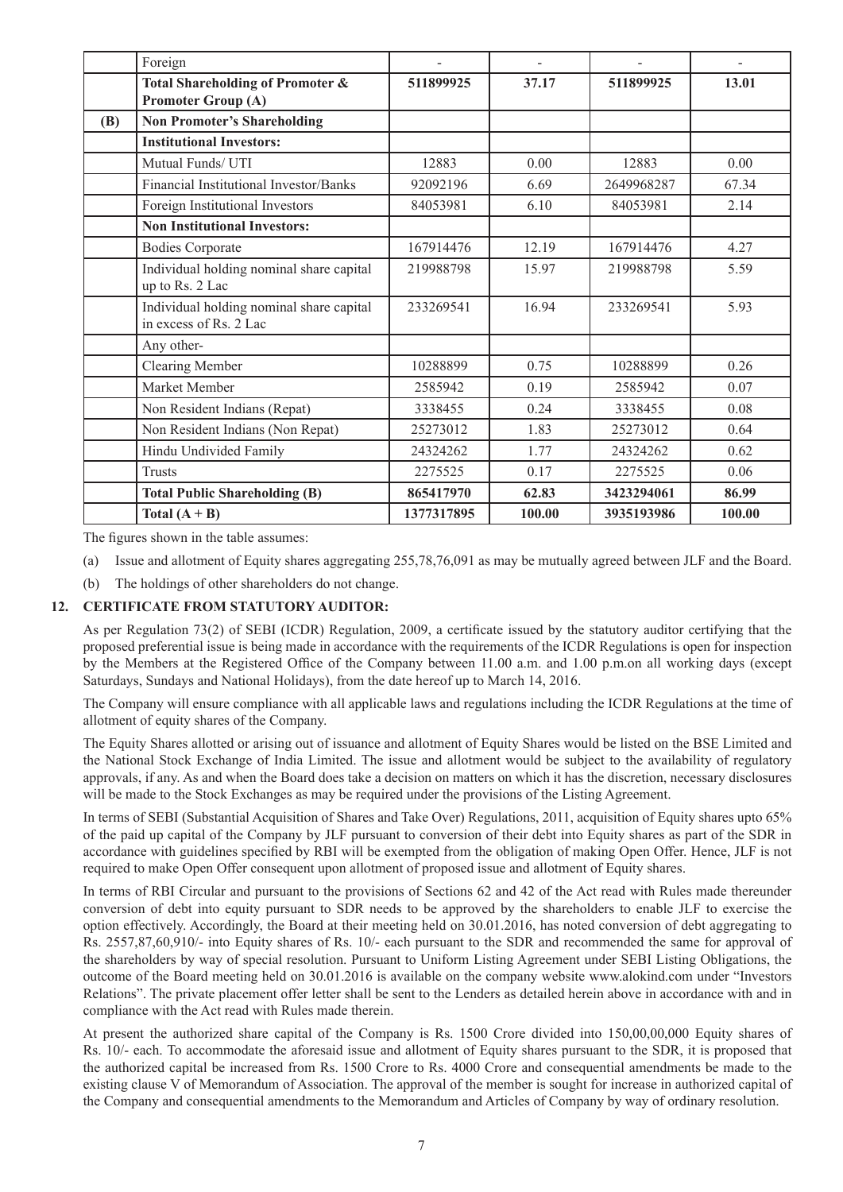|     | Foreign                                                            |            |        |            |        |
|-----|--------------------------------------------------------------------|------------|--------|------------|--------|
|     | Total Shareholding of Promoter &<br><b>Promoter Group (A)</b>      | 511899925  | 37.17  | 511899925  | 13.01  |
| (B) | <b>Non Promoter's Shareholding</b>                                 |            |        |            |        |
|     | <b>Institutional Investors:</b>                                    |            |        |            |        |
|     | Mutual Funds/ UTI                                                  | 12883      | 0.00   | 12883      | 0.00   |
|     | Financial Institutional Investor/Banks                             | 92092196   | 6.69   | 2649968287 | 67.34  |
|     | Foreign Institutional Investors                                    | 84053981   | 6.10   | 84053981   | 2.14   |
|     | <b>Non Institutional Investors:</b>                                |            |        |            |        |
|     | <b>Bodies Corporate</b>                                            | 167914476  | 12.19  | 167914476  | 4.27   |
|     | Individual holding nominal share capital<br>up to Rs. 2 Lac        | 219988798  | 15.97  | 219988798  | 5.59   |
|     | Individual holding nominal share capital<br>in excess of Rs. 2 Lac | 233269541  | 16.94  | 233269541  | 5.93   |
|     | Any other-                                                         |            |        |            |        |
|     | <b>Clearing Member</b>                                             | 10288899   | 0.75   | 10288899   | 0.26   |
|     | Market Member                                                      | 2585942    | 0.19   | 2585942    | 0.07   |
|     | Non Resident Indians (Repat)                                       | 3338455    | 0.24   | 3338455    | 0.08   |
|     | Non Resident Indians (Non Repat)                                   | 25273012   | 1.83   | 25273012   | 0.64   |
|     | Hindu Undivided Family                                             | 24324262   | 1.77   | 24324262   | 0.62   |
|     | <b>Trusts</b>                                                      | 2275525    | 0.17   | 2275525    | 0.06   |
|     | <b>Total Public Shareholding (B)</b>                               | 865417970  | 62.83  | 3423294061 | 86.99  |
|     | Total $(A + B)$                                                    | 1377317895 | 100.00 | 3935193986 | 100.00 |

The figures shown in the table assumes:

- (a) Issue and allotment of Equity shares aggregating 255,78,76,091 as may be mutually agreed between JLF and the Board.
- (b) The holdings of other shareholders do not change.

#### **12. CERTIFICATE FROM STATUTORY AUDITOR:**

As per Regulation 73(2) of SEBI (ICDR) Regulation, 2009, a certificate issued by the statutory auditor certifying that the proposed preferential issue is being made in accordance with the requirements of the ICDR Regulations is open for inspection by the Members at the Registered Office of the Company between 11.00 a.m. and 1.00 p.m.on all working days (except Saturdays, Sundays and National Holidays), from the date hereof up to March 14, 2016.

The Company will ensure compliance with all applicable laws and regulations including the ICDR Regulations at the time of allotment of equity shares of the Company.

The Equity Shares allotted or arising out of issuance and allotment of Equity Shares would be listed on the BSE Limited and the National Stock Exchange of India Limited. The issue and allotment would be subject to the availability of regulatory approvals, if any. As and when the Board does take a decision on matters on which it has the discretion, necessary disclosures will be made to the Stock Exchanges as may be required under the provisions of the Listing Agreement.

In terms of SEBI (Substantial Acquisition of Shares and Take Over) Regulations, 2011, acquisition of Equity shares upto 65% of the paid up capital of the Company by JLF pursuant to conversion of their debt into Equity shares as part of the SDR in accordance with guidelines specified by RBI will be exempted from the obligation of making Open Offer. Hence, JLF is not required to make Open Offer consequent upon allotment of proposed issue and allotment of Equity shares.

In terms of RBI Circular and pursuant to the provisions of Sections 62 and 42 of the Act read with Rules made thereunder conversion of debt into equity pursuant to SDR needs to be approved by the shareholders to enable JLF to exercise the option effectively. Accordingly, the Board at their meeting held on 30.01.2016, has noted conversion of debt aggregating to Rs. 2557,87,60,910/- into Equity shares of Rs. 10/- each pursuant to the SDR and recommended the same for approval of the shareholders by way of special resolution. Pursuant to Uniform Listing Agreement under SEBI Listing Obligations, the outcome of the Board meeting held on 30.01.2016 is available on the company website www.alokind.com under "Investors Relations". The private placement offer letter shall be sent to the Lenders as detailed herein above in accordance with and in compliance with the Act read with Rules made therein.

At present the authorized share capital of the Company is Rs. 1500 Crore divided into 150,00,00,000 Equity shares of Rs. 10/- each. To accommodate the aforesaid issue and allotment of Equity shares pursuant to the SDR, it is proposed that the authorized capital be increased from Rs. 1500 Crore to Rs. 4000 Crore and consequential amendments be made to the existing clause V of Memorandum of Association. The approval of the member is sought for increase in authorized capital of the Company and consequential amendments to the Memorandum and Articles of Company by way of ordinary resolution.